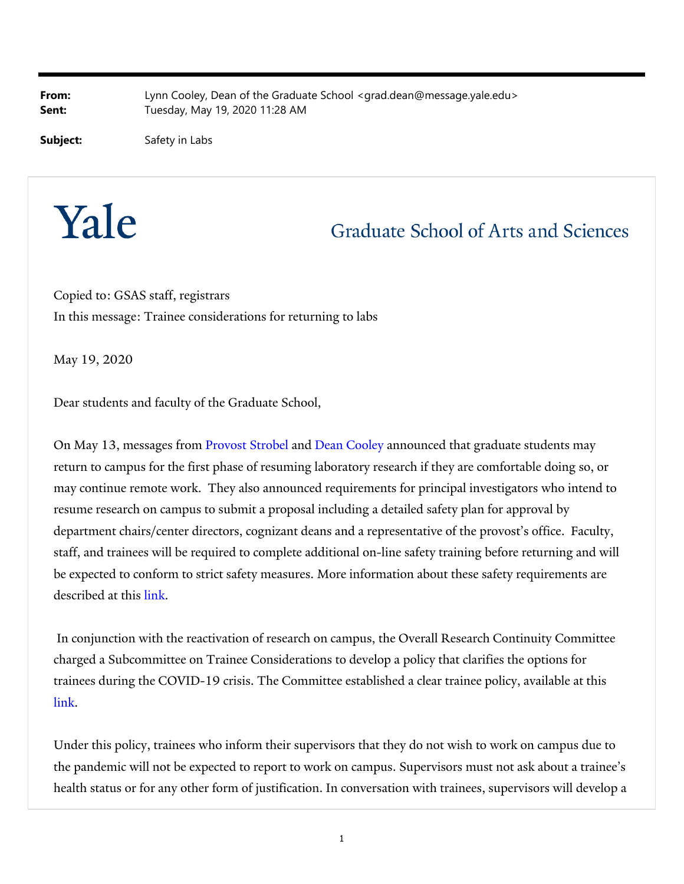**From:** Lynn Cooley, Dean of the Graduate School <grad.dean@message.yale.edu> **Sent:** Tuesday, May 19, 2020 11:28 AM

**Subject:** Safety in Labs

## Yale

## **Graduate School of Arts and Sciences**

Copied to: GSAS staff, registrars In this message: Trainee considerations for returning to labs

May 19, 2020

Dear students and faculty of the Graduate School,

On May 13, messages from Provost Strobel and Dean Cooley announced that graduate students may return to campus for the first phase of resuming laboratory research if they are comfortable doing so, or may continue remote work. They also announced requirements for principal investigators who intend to resume research on campus to submit a proposal including a detailed safety plan for approval by department chairs/center directors, cognizant deans and a representative of the provost's office. Faculty, staff, and trainees will be required to complete additional on-line safety training before returning and will be expected to conform to strict safety measures. More information about these safety requirements are described at this link.

 In conjunction with the reactivation of research on campus, the Overall Research Continuity Committee charged a Subcommittee on Trainee Considerations to develop a policy that clarifies the options for trainees during the COVID-19 crisis. The Committee established a clear trainee policy, available at this link.

Under this policy, trainees who inform their supervisors that they do not wish to work on campus due to the pandemic will not be expected to report to work on campus. Supervisors must not ask about a trainee's health status or for any other form of justification. In conversation with trainees, supervisors will develop a